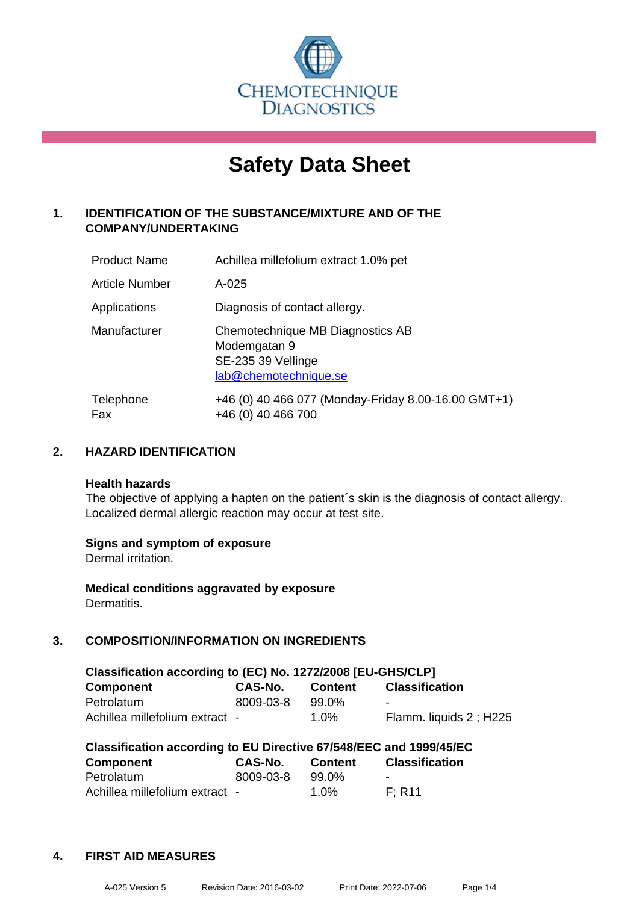

# **Safety Data Sheet**

## **1. IDENTIFICATION OF THE SUBSTANCE/MIXTURE AND OF THE COMPANY/UNDERTAKING**

| <b>Product Name</b>   | Achillea millefolium extract 1.0% pet                                                           |
|-----------------------|-------------------------------------------------------------------------------------------------|
| <b>Article Number</b> | $A - 025$                                                                                       |
| Applications          | Diagnosis of contact allergy.                                                                   |
| Manufacturer          | Chemotechnique MB Diagnostics AB<br>Modemgatan 9<br>SE-235 39 Vellinge<br>lab@chemotechnique.se |
| Telephone<br>Fax      | +46 (0) 40 466 077 (Monday-Friday 8.00-16.00 GMT+1)<br>+46 (0) 40 466 700                       |

## **2. HAZARD IDENTIFICATION**

#### **Health hazards**

The objective of applying a hapten on the patient's skin is the diagnosis of contact allergy. Localized dermal allergic reaction may occur at test site.

## **Signs and symptom of exposure**

Dermal irritation.

**Medical conditions aggravated by exposure** Dermatitis.

## **3. COMPOSITION/INFORMATION ON INGREDIENTS**

| Classification according to (EC) No. 1272/2008 [EU-GHS/CLP] |                |                |                          |  |  |
|-------------------------------------------------------------|----------------|----------------|--------------------------|--|--|
| <b>Component</b>                                            | <b>CAS-No.</b> | <b>Content</b> | <b>Classification</b>    |  |  |
| Petrolatum                                                  | 8009-03-8      | 99.0%          | $\overline{\phantom{0}}$ |  |  |
| Achillea millefolium extract -                              |                | 1.0%           | Flamm. liquids 2; H225   |  |  |

| Classification according to EU Directive 67/548/EEC and 1999/45/EC |           |                |                       |  |  |
|--------------------------------------------------------------------|-----------|----------------|-----------------------|--|--|
| Component                                                          | CAS-No.   | <b>Content</b> | <b>Classification</b> |  |  |
| Petrolatum                                                         | 8009-03-8 | 99.0%          | -                     |  |  |
| Achillea millefolium extract -                                     |           | 1.0%           | F: R11                |  |  |

## **4. FIRST AID MEASURES**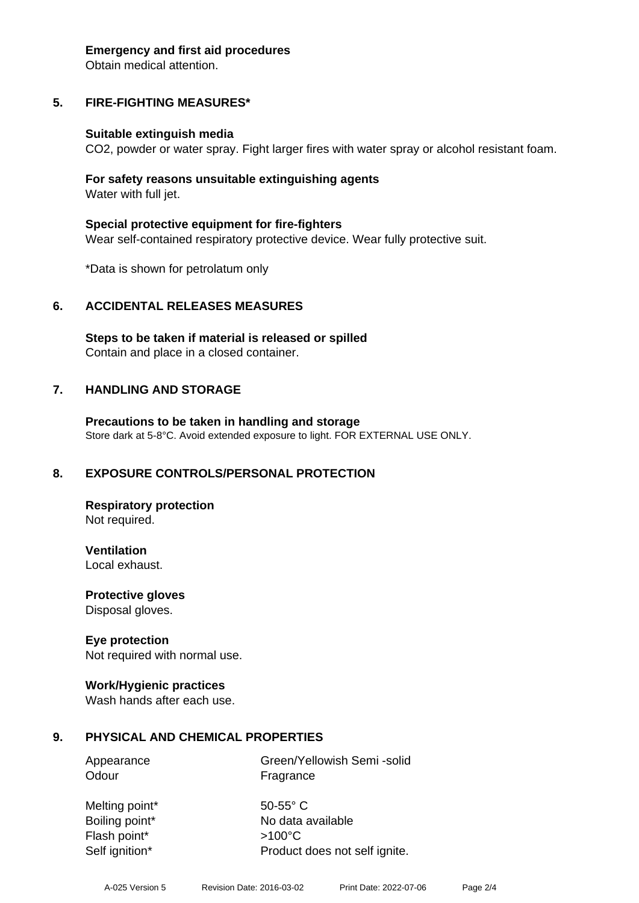#### **Emergency and first aid procedures**

Obtain medical attention.

## **5. FIRE-FIGHTING MEASURES\***

#### **Suitable extinguish media**

CO2, powder or water spray. Fight larger fires with water spray or alcohol resistant foam.

#### **For safety reasons unsuitable extinguishing agents** Water with full jet.

**Special protective equipment for fire-fighters** Wear self-contained respiratory protective device. Wear fully protective suit.

\*Data is shown for petrolatum only

## **6. ACCIDENTAL RELEASES MEASURES**

**Steps to be taken if material is released or spilled** Contain and place in a closed container.

## **7. HANDLING AND STORAGE**

**Precautions to be taken in handling and storage** Store dark at 5-8°C. Avoid extended exposure to light. FOR EXTERNAL USE ONLY.

## **8. EXPOSURE CONTROLS/PERSONAL PROTECTION**

**Respiratory protection** Not required.

**Ventilation** Local exhaust.

**Protective gloves** Disposal gloves.

## **Eye protection**

Not required with normal use.

## **Work/Hygienic practices**

Wash hands after each use.

## **9. PHYSICAL AND CHEMICAL PROPERTIES**

Appearance Green/Yellowish Semi -solid Odour **Fragrance** 

Melting point\* 50-55° C Flash point\* >100°C Self ignition\* Product does not self ignite.

Boiling point\* No data available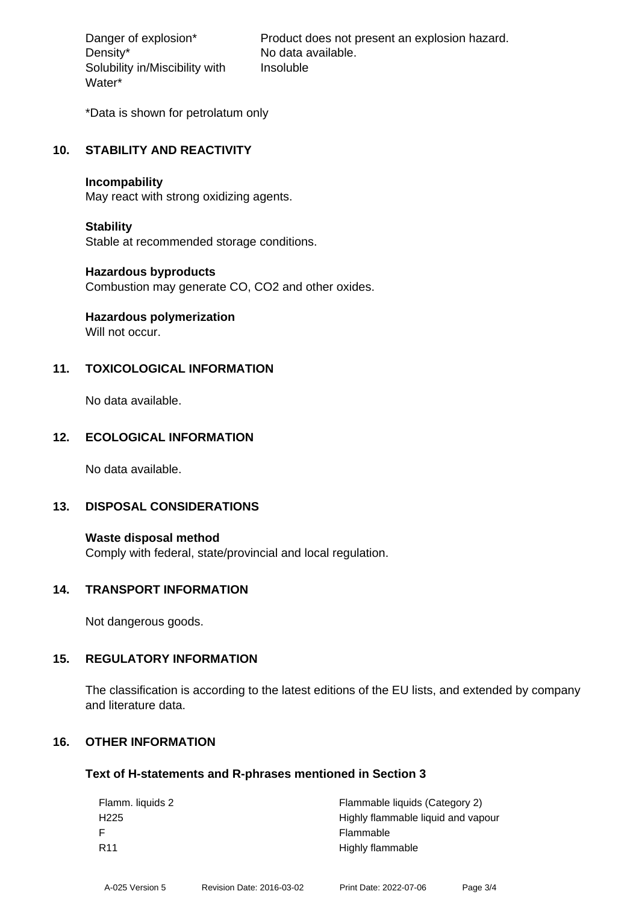Density\* No data available. Solubility in/Miscibility with Water\*

Danger of explosion\* Product does not present an explosion hazard. Insoluble

\*Data is shown for petrolatum only

#### **10. STABILITY AND REACTIVITY**

#### **Incompability**

May react with strong oxidizing agents.

#### **Stability**

Stable at recommended storage conditions.

#### **Hazardous byproducts**

Combustion may generate CO, CO2 and other oxides.

## **Hazardous polymerization**

Will not occur.

## **11. TOXICOLOGICAL INFORMATION**

No data available.

## **12. ECOLOGICAL INFORMATION**

No data available.

## **13. DISPOSAL CONSIDERATIONS**

**Waste disposal method** Comply with federal, state/provincial and local regulation.

#### **14. TRANSPORT INFORMATION**

Not dangerous goods.

## **15. REGULATORY INFORMATION**

The classification is according to the latest editions of the EU lists, and extended by company and literature data.

## **16. OTHER INFORMATION**

#### **Text of H-statements and R-phrases mentioned in Section 3**

| Flamm. liquids 2 | Flammable liquids (Category 2)     |
|------------------|------------------------------------|
| H <sub>225</sub> | Highly flammable liquid and vapour |
|                  | Flammable                          |
| R <sub>11</sub>  | Highly flammable                   |
|                  |                                    |